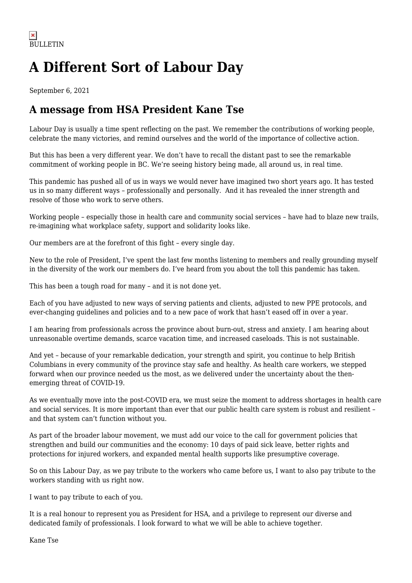## **A Different Sort of Labour Day**

September 6, 2021

## **A message from HSA President Kane Tse**

Labour Day is usually a time spent reflecting on the past. We remember the contributions of working people, celebrate the many victories, and remind ourselves and the world of the importance of collective action.

But this has been a very different year. We don't have to recall the distant past to see the remarkable commitment of working people in BC. We're seeing history being made, all around us, in real time.

This pandemic has pushed all of us in ways we would never have imagined two short years ago. It has tested us in so many different ways – professionally and personally. And it has revealed the inner strength and resolve of those who work to serve others.

Working people – especially those in health care and community social services – have had to blaze new trails, re-imagining what workplace safety, support and solidarity looks like.

Our members are at the forefront of this fight – every single day.

New to the role of President, I've spent the last few months listening to members and really grounding myself in the diversity of the work our members do. I've heard from you about the toll this pandemic has taken.

This has been a tough road for many – and it is not done yet.

Each of you have adjusted to new ways of serving patients and clients, adjusted to new PPE protocols, and ever-changing guidelines and policies and to a new pace of work that hasn't eased off in over a year.

I am hearing from professionals across the province about burn-out, stress and anxiety. I am hearing about unreasonable overtime demands, scarce vacation time, and increased caseloads. This is not sustainable.

And yet – because of your remarkable dedication, your strength and spirit, you continue to help British Columbians in every community of the province stay safe and healthy. As health care workers, we stepped forward when our province needed us the most, as we delivered under the uncertainty about the thenemerging threat of COVID-19.

As we eventually move into the post-COVID era, we must seize the moment to address shortages in health care and social services. It is more important than ever that our public health care system is robust and resilient – and that system can't function without you.

As part of the broader labour movement, we must add our voice to the call for government policies that strengthen and build our communities and the economy: 10 days of paid sick leave, better rights and protections for injured workers, and expanded mental health supports like presumptive coverage.

So on this Labour Day, as we pay tribute to the workers who came before us, I want to also pay tribute to the workers standing with us right now.

I want to pay tribute to each of you.

It is a real honour to represent you as President for HSA, and a privilege to represent our diverse and dedicated family of professionals. I look forward to what we will be able to achieve together.

Kane Tse